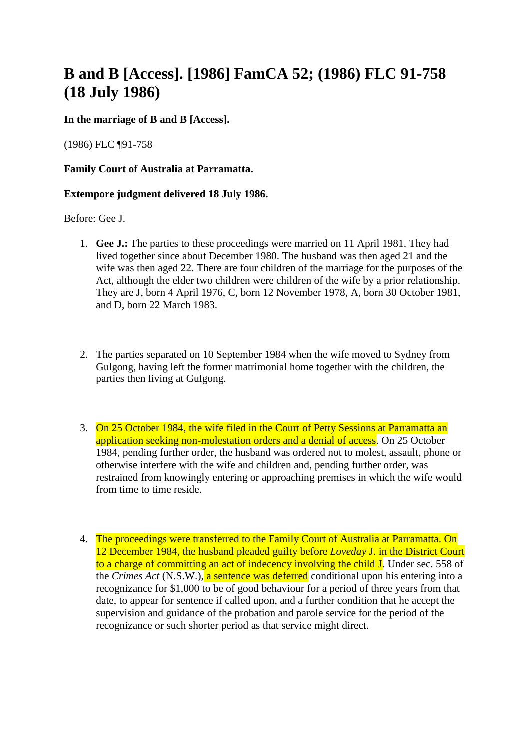## **B and B [Access]. [1986] FamCA 52; (1986) FLC 91-758 (18 July 1986)**

## **In the marriage of B and B [Access].**

(1986) FLC ¶91-758

**Family Court of Australia at Parramatta.**

## **Extempore judgment delivered 18 July 1986.**

Before: Gee J.

- 1. **Gee J.:** The parties to these proceedings were married on 11 April 1981. They had lived together since about December 1980. The husband was then aged 21 and the wife was then aged 22. There are four children of the marriage for the purposes of the Act, although the elder two children were children of the wife by a prior relationship. They are J, born 4 April 1976, C, born 12 November 1978, A, born 30 October 1981, and D, born 22 March 1983.
- 2. The parties separated on 10 September 1984 when the wife moved to Sydney from Gulgong, having left the former matrimonial home together with the children, the parties then living at Gulgong.
- 3. On 25 October 1984, the wife filed in the Court of Petty Sessions at Parramatta an application seeking non-molestation orders and a denial of access. On 25 October 1984, pending further order, the husband was ordered not to molest, assault, phone or otherwise interfere with the wife and children and, pending further order, was restrained from knowingly entering or approaching premises in which the wife would from time to time reside.
- 4. The proceedings were transferred to the Family Court of Australia at Parramatta. On 12 December 1984, the husband pleaded guilty before *Loveday* J. in the District Court to a charge of committing an act of indecency involving the child J. Under sec. 558 of the *Crimes Act* (N.S.W.), a sentence was deferred conditional upon his entering into a recognizance for \$1,000 to be of good behaviour for a period of three years from that date, to appear for sentence if called upon, and a further condition that he accept the supervision and guidance of the probation and parole service for the period of the recognizance or such shorter period as that service might direct.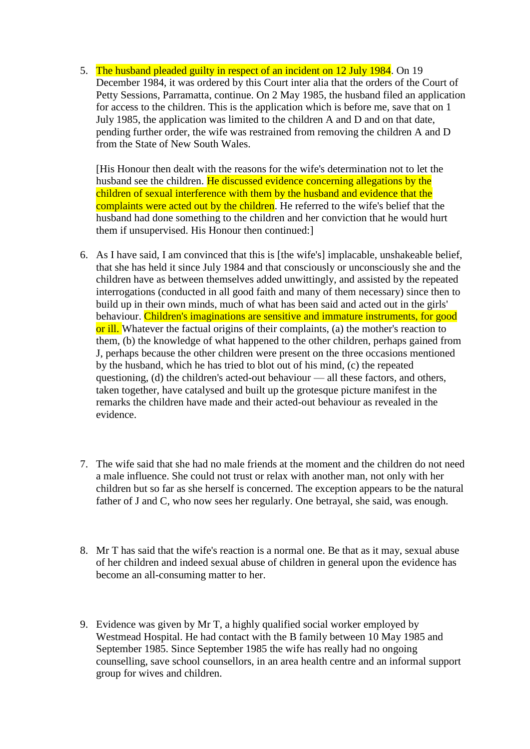5. The husband pleaded guilty in respect of an incident on 12 July 1984. On 19 December 1984, it was ordered by this Court inter alia that the orders of the Court of Petty Sessions, Parramatta, continue. On 2 May 1985, the husband filed an application for access to the children. This is the application which is before me, save that on 1 July 1985, the application was limited to the children A and D and on that date, pending further order, the wife was restrained from removing the children A and D from the State of New South Wales.

[His Honour then dealt with the reasons for the wife's determination not to let the husband see the children. He discussed evidence concerning allegations by the children of sexual interference with them by the husband and evidence that the complaints were acted out by the children. He referred to the wife's belief that the husband had done something to the children and her conviction that he would hurt them if unsupervised. His Honour then continued:]

- 6. As I have said, I am convinced that this is [the wife's] implacable, unshakeable belief, that she has held it since July 1984 and that consciously or unconsciously she and the children have as between themselves added unwittingly, and assisted by the repeated interrogations (conducted in all good faith and many of them necessary) since then to build up in their own minds, much of what has been said and acted out in the girls' behaviour. Children's imaginations are sensitive and immature instruments, for good or ill. Whatever the factual origins of their complaints, (a) the mother's reaction to them, (b) the knowledge of what happened to the other children, perhaps gained from J, perhaps because the other children were present on the three occasions mentioned by the husband, which he has tried to blot out of his mind, (c) the repeated questioning, (d) the children's acted-out behaviour — all these factors, and others, taken together, have catalysed and built up the grotesque picture manifest in the remarks the children have made and their acted-out behaviour as revealed in the evidence.
- 7. The wife said that she had no male friends at the moment and the children do not need a male influence. She could not trust or relax with another man, not only with her children but so far as she herself is concerned. The exception appears to be the natural father of J and C, who now sees her regularly. One betrayal, she said, was enough.
- 8. Mr T has said that the wife's reaction is a normal one. Be that as it may, sexual abuse of her children and indeed sexual abuse of children in general upon the evidence has become an all-consuming matter to her.
- 9. Evidence was given by Mr T, a highly qualified social worker employed by Westmead Hospital. He had contact with the B family between 10 May 1985 and September 1985. Since September 1985 the wife has really had no ongoing counselling, save school counsellors, in an area health centre and an informal support group for wives and children.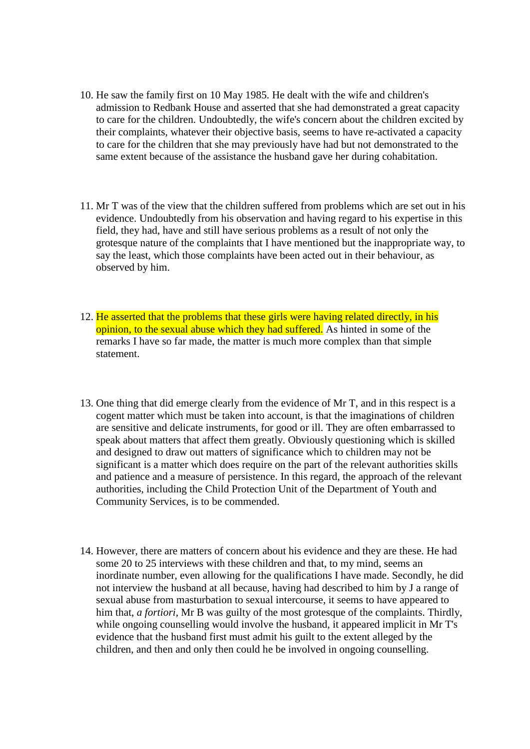- 10. He saw the family first on 10 May 1985. He dealt with the wife and children's admission to Redbank House and asserted that she had demonstrated a great capacity to care for the children. Undoubtedly, the wife's concern about the children excited by their complaints, whatever their objective basis, seems to have re-activated a capacity to care for the children that she may previously have had but not demonstrated to the same extent because of the assistance the husband gave her during cohabitation.
- 11. Mr T was of the view that the children suffered from problems which are set out in his evidence. Undoubtedly from his observation and having regard to his expertise in this field, they had, have and still have serious problems as a result of not only the grotesque nature of the complaints that I have mentioned but the inappropriate way, to say the least, which those complaints have been acted out in their behaviour, as observed by him.
- 12. He asserted that the problems that these girls were having related directly, in his opinion, to the sexual abuse which they had suffered. As hinted in some of the remarks I have so far made, the matter is much more complex than that simple statement.
- 13. One thing that did emerge clearly from the evidence of Mr T, and in this respect is a cogent matter which must be taken into account, is that the imaginations of children are sensitive and delicate instruments, for good or ill. They are often embarrassed to speak about matters that affect them greatly. Obviously questioning which is skilled and designed to draw out matters of significance which to children may not be significant is a matter which does require on the part of the relevant authorities skills and patience and a measure of persistence. In this regard, the approach of the relevant authorities, including the Child Protection Unit of the Department of Youth and Community Services, is to be commended.
- 14. However, there are matters of concern about his evidence and they are these. He had some 20 to 25 interviews with these children and that, to my mind, seems an inordinate number, even allowing for the qualifications I have made. Secondly, he did not interview the husband at all because, having had described to him by J a range of sexual abuse from masturbation to sexual intercourse, it seems to have appeared to him that, *a fortiori,* Mr B was guilty of the most grotesque of the complaints. Thirdly, while ongoing counselling would involve the husband, it appeared implicit in Mr T's evidence that the husband first must admit his guilt to the extent alleged by the children, and then and only then could he be involved in ongoing counselling.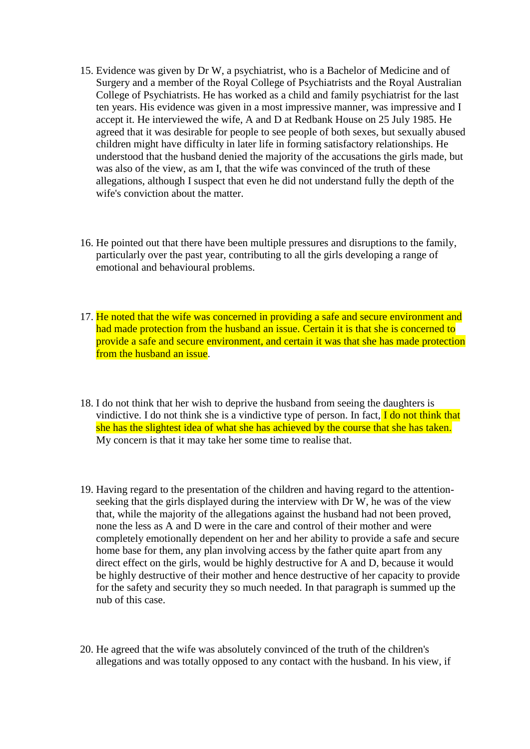- 15. Evidence was given by Dr W, a psychiatrist, who is a Bachelor of Medicine and of Surgery and a member of the Royal College of Psychiatrists and the Royal Australian College of Psychiatrists. He has worked as a child and family psychiatrist for the last ten years. His evidence was given in a most impressive manner, was impressive and I accept it. He interviewed the wife, A and D at Redbank House on 25 July 1985. He agreed that it was desirable for people to see people of both sexes, but sexually abused children might have difficulty in later life in forming satisfactory relationships. He understood that the husband denied the majority of the accusations the girls made, but was also of the view, as am I, that the wife was convinced of the truth of these allegations, although I suspect that even he did not understand fully the depth of the wife's conviction about the matter.
- 16. He pointed out that there have been multiple pressures and disruptions to the family, particularly over the past year, contributing to all the girls developing a range of emotional and behavioural problems.
- 17. He noted that the wife was concerned in providing a safe and secure environment and had made protection from the husband an issue. Certain it is that she is concerned to provide a safe and secure environment, and certain it was that she has made protection from the husband an issue.
- 18. I do not think that her wish to deprive the husband from seeing the daughters is vindictive. I do not think she is a vindictive type of person. In fact,  $\overline{I}$  do not think that she has the slightest idea of what she has achieved by the course that she has taken. My concern is that it may take her some time to realise that.
- 19. Having regard to the presentation of the children and having regard to the attentionseeking that the girls displayed during the interview with Dr W, he was of the view that, while the majority of the allegations against the husband had not been proved, none the less as A and D were in the care and control of their mother and were completely emotionally dependent on her and her ability to provide a safe and secure home base for them, any plan involving access by the father quite apart from any direct effect on the girls, would be highly destructive for A and D, because it would be highly destructive of their mother and hence destructive of her capacity to provide for the safety and security they so much needed. In that paragraph is summed up the nub of this case.
- 20. He agreed that the wife was absolutely convinced of the truth of the children's allegations and was totally opposed to any contact with the husband. In his view, if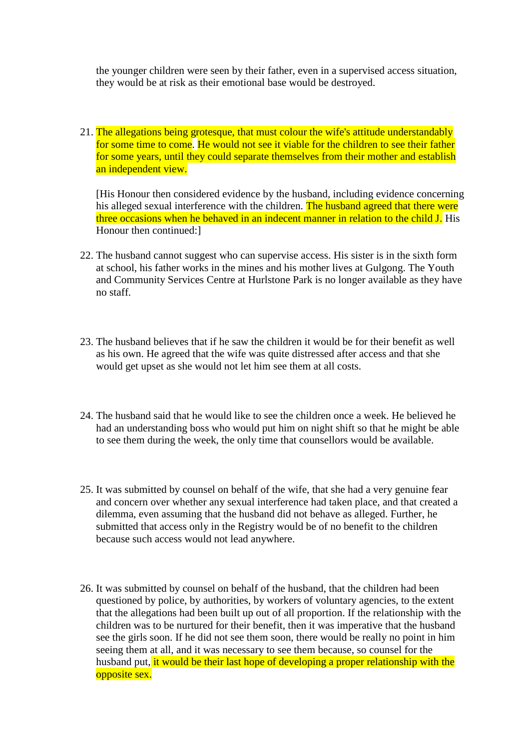the younger children were seen by their father, even in a supervised access situation, they would be at risk as their emotional base would be destroyed.

21. The allegations being grotesque, that must colour the wife's attitude understandably for some time to come. He would not see it viable for the children to see their father for some years, until they could separate themselves from their mother and establish an independent view.

[His Honour then considered evidence by the husband, including evidence concerning his alleged sexual interference with the children. The husband agreed that there were three occasions when he behaved in an indecent manner in relation to the child J. His Honour then continued:]

- 22. The husband cannot suggest who can supervise access. His sister is in the sixth form at school, his father works in the mines and his mother lives at Gulgong. The Youth and Community Services Centre at Hurlstone Park is no longer available as they have no staff.
- 23. The husband believes that if he saw the children it would be for their benefit as well as his own. He agreed that the wife was quite distressed after access and that she would get upset as she would not let him see them at all costs.
- 24. The husband said that he would like to see the children once a week. He believed he had an understanding boss who would put him on night shift so that he might be able to see them during the week, the only time that counsellors would be available.
- 25. It was submitted by counsel on behalf of the wife, that she had a very genuine fear and concern over whether any sexual interference had taken place, and that created a dilemma, even assuming that the husband did not behave as alleged. Further, he submitted that access only in the Registry would be of no benefit to the children because such access would not lead anywhere.
- 26. It was submitted by counsel on behalf of the husband, that the children had been questioned by police, by authorities, by workers of voluntary agencies, to the extent that the allegations had been built up out of all proportion. If the relationship with the children was to be nurtured for their benefit, then it was imperative that the husband see the girls soon. If he did not see them soon, there would be really no point in him seeing them at all, and it was necessary to see them because, so counsel for the husband put, it would be their last hope of developing a proper relationship with the opposite sex.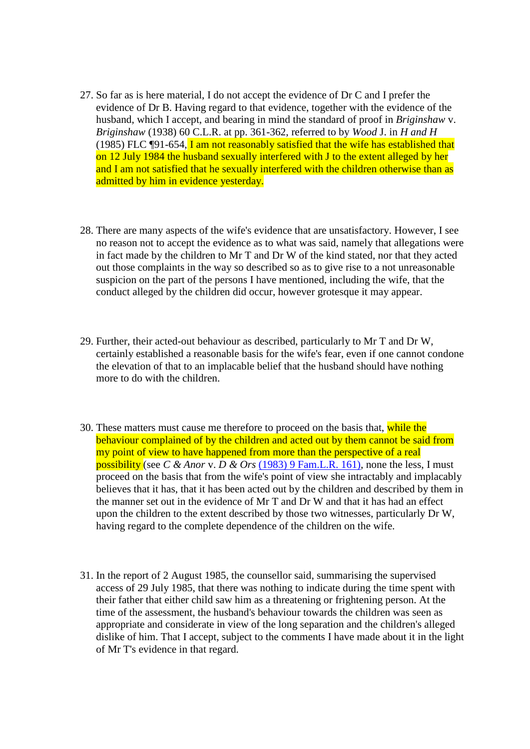- 27. So far as is here material, I do not accept the evidence of Dr C and I prefer the evidence of Dr B. Having regard to that evidence, together with the evidence of the husband, which I accept, and bearing in mind the standard of proof in *Briginshaw* v. *Briginshaw* (1938) 60 C.L.R. at pp. 361-362, referred to by *Wood* J. in *H and H* (1985) FLC ¶91-654, I am not reasonably satisfied that the wife has established that on 12 July 1984 the husband sexually interfered with J to the extent alleged by her and I am not satisfied that he sexually interfered with the children otherwise than as admitted by him in evidence yesterday.
- 28. There are many aspects of the wife's evidence that are unsatisfactory. However, I see no reason not to accept the evidence as to what was said, namely that allegations were in fact made by the children to Mr T and Dr W of the kind stated, nor that they acted out those complaints in the way so described so as to give rise to a not unreasonable suspicion on the part of the persons I have mentioned, including the wife, that the conduct alleged by the children did occur, however grotesque it may appear.
- 29. Further, their acted-out behaviour as described, particularly to Mr T and Dr W, certainly established a reasonable basis for the wife's fear, even if one cannot condone the elevation of that to an implacable belief that the husband should have nothing more to do with the children
- 30. These matters must cause me therefore to proceed on the basis that, while the behaviour complained of by the children and acted out by them cannot be said from my point of view to have happened from more than the perspective of a real possibility (see *C & Anor* v. *D & Ors* [\(1983\) 9 Fam.L.R. 161\),](http://www.austlii.edu.au/cgi-bin/LawCite?cit=%281983%29%209%20FamLR%20161) none the less, I must proceed on the basis that from the wife's point of view she intractably and implacably believes that it has, that it has been acted out by the children and described by them in the manner set out in the evidence of Mr T and Dr W and that it has had an effect upon the children to the extent described by those two witnesses, particularly Dr W, having regard to the complete dependence of the children on the wife.
- 31. In the report of 2 August 1985, the counsellor said, summarising the supervised access of 29 July 1985, that there was nothing to indicate during the time spent with their father that either child saw him as a threatening or frightening person. At the time of the assessment, the husband's behaviour towards the children was seen as appropriate and considerate in view of the long separation and the children's alleged dislike of him. That I accept, subject to the comments I have made about it in the light of Mr T's evidence in that regard.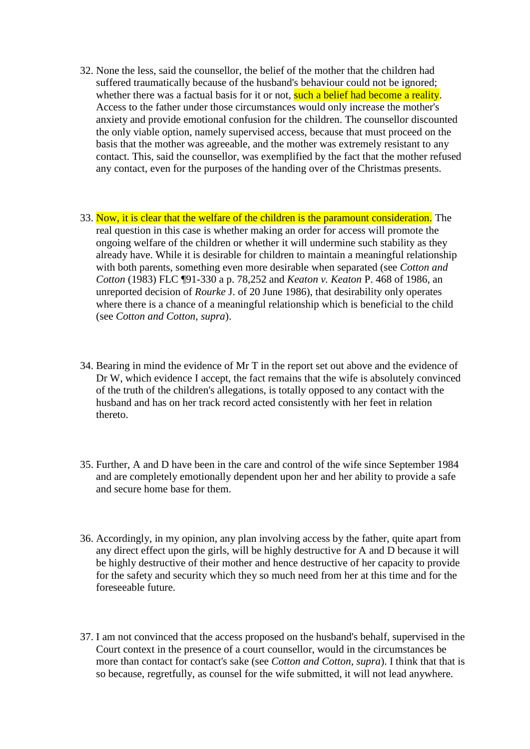- 32. None the less, said the counsellor, the belief of the mother that the children had suffered traumatically because of the husband's behaviour could not be ignored; whether there was a factual basis for it or not, such a belief had become a reality. Access to the father under those circumstances would only increase the mother's anxiety and provide emotional confusion for the children. The counsellor discounted the only viable option, namely supervised access, because that must proceed on the basis that the mother was agreeable, and the mother was extremely resistant to any contact. This, said the counsellor, was exemplified by the fact that the mother refused any contact, even for the purposes of the handing over of the Christmas presents.
- 33. Now, it is clear that the welfare of the children is the paramount consideration. The real question in this case is whether making an order for access will promote the ongoing welfare of the children or whether it will undermine such stability as they already have. While it is desirable for children to maintain a meaningful relationship with both parents, something even more desirable when separated (see *Cotton and Cotton* (1983) FLC ¶91-330 a p. 78,252 and *Keaton v. Keaton* P. 468 of 1986, an unreported decision of *Rourke* J. of 20 June 1986), that desirability only operates where there is a chance of a meaningful relationship which is beneficial to the child (see *Cotton and Cotton, supra*).
- 34. Bearing in mind the evidence of Mr T in the report set out above and the evidence of Dr W, which evidence I accept, the fact remains that the wife is absolutely convinced of the truth of the children's allegations, is totally opposed to any contact with the husband and has on her track record acted consistently with her feet in relation thereto.
- 35. Further, A and D have been in the care and control of the wife since September 1984 and are completely emotionally dependent upon her and her ability to provide a safe and secure home base for them.
- 36. Accordingly, in my opinion, any plan involving access by the father, quite apart from any direct effect upon the girls, will be highly destructive for A and D because it will be highly destructive of their mother and hence destructive of her capacity to provide for the safety and security which they so much need from her at this time and for the foreseeable future.
- 37. I am not convinced that the access proposed on the husband's behalf, supervised in the Court context in the presence of a court counsellor, would in the circumstances be more than contact for contact's sake (see *Cotton and Cotton, supra*). I think that that is so because, regretfully, as counsel for the wife submitted, it will not lead anywhere.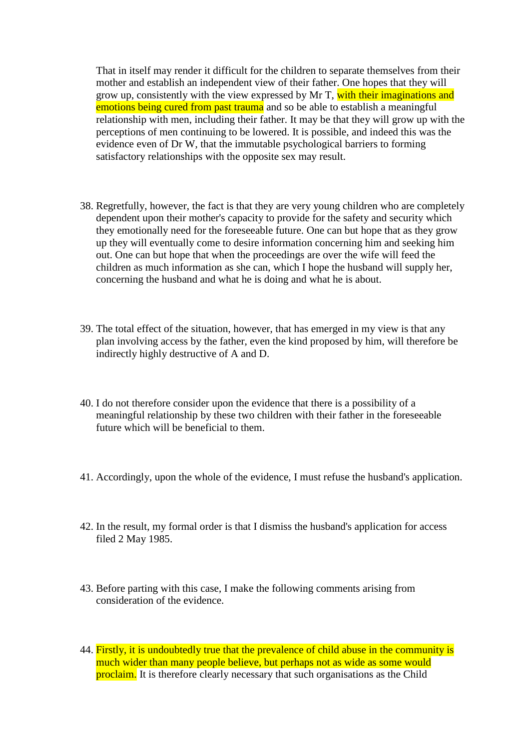That in itself may render it difficult for the children to separate themselves from their mother and establish an independent view of their father. One hopes that they will grow up, consistently with the view expressed by Mr T, with their imaginations and emotions being cured from past trauma and so be able to establish a meaningful relationship with men, including their father. It may be that they will grow up with the perceptions of men continuing to be lowered. It is possible, and indeed this was the evidence even of Dr W, that the immutable psychological barriers to forming satisfactory relationships with the opposite sex may result.

- 38. Regretfully, however, the fact is that they are very young children who are completely dependent upon their mother's capacity to provide for the safety and security which they emotionally need for the foreseeable future. One can but hope that as they grow up they will eventually come to desire information concerning him and seeking him out. One can but hope that when the proceedings are over the wife will feed the children as much information as she can, which I hope the husband will supply her, concerning the husband and what he is doing and what he is about.
- 39. The total effect of the situation, however, that has emerged in my view is that any plan involving access by the father, even the kind proposed by him, will therefore be indirectly highly destructive of A and D.
- 40. I do not therefore consider upon the evidence that there is a possibility of a meaningful relationship by these two children with their father in the foreseeable future which will be beneficial to them.
- 41. Accordingly, upon the whole of the evidence, I must refuse the husband's application.
- 42. In the result, my formal order is that I dismiss the husband's application for access filed 2 May 1985.
- 43. Before parting with this case, I make the following comments arising from consideration of the evidence.
- 44. Firstly, it is undoubtedly true that the prevalence of child abuse in the community is much wider than many people believe, but perhaps not as wide as some would proclaim. It is therefore clearly necessary that such organisations as the Child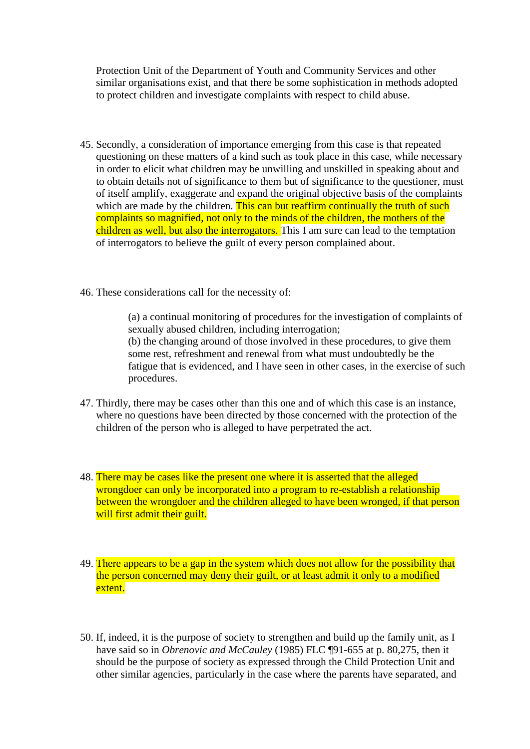Protection Unit of the Department of Youth and Community Services and other similar organisations exist, and that there be some sophistication in methods adopted to protect children and investigate complaints with respect to child abuse.

- 45. Secondly, a consideration of importance emerging from this case is that repeated questioning on these matters of a kind such as took place in this case, while necessary in order to elicit what children may be unwilling and unskilled in speaking about and to obtain details not of significance to them but of significance to the questioner, must of itself amplify, exaggerate and expand the original objective basis of the complaints which are made by the children. This can but reaffirm continually the truth of such complaints so magnified, not only to the minds of the children, the mothers of the children as well, but also the interrogators. This I am sure can lead to the temptation of interrogators to believe the guilt of every person complained about.
- 46. These considerations call for the necessity of:

(a) a continual monitoring of procedures for the investigation of complaints of sexually abused children, including interrogation; (b) the changing around of those involved in these procedures, to give them some rest, refreshment and renewal from what must undoubtedly be the fatigue that is evidenced, and I have seen in other cases, in the exercise of such procedures.

- 47. Thirdly, there may be cases other than this one and of which this case is an instance, where no questions have been directed by those concerned with the protection of the children of the person who is alleged to have perpetrated the act.
- 48. There may be cases like the present one where it is asserted that the alleged wrongdoer can only be incorporated into a program to re-establish a relationship between the wrongdoer and the children alleged to have been wronged, if that person will first admit their guilt.
- 49. There appears to be a gap in the system which does not allow for the possibility that the person concerned may deny their guilt, or at least admit it only to a modified extent.
- 50. If, indeed, it is the purpose of society to strengthen and build up the family unit, as I have said so in *Obrenovic and McCauley* (1985) FLC ¶91-655 at p. 80,275, then it should be the purpose of society as expressed through the Child Protection Unit and other similar agencies, particularly in the case where the parents have separated, and